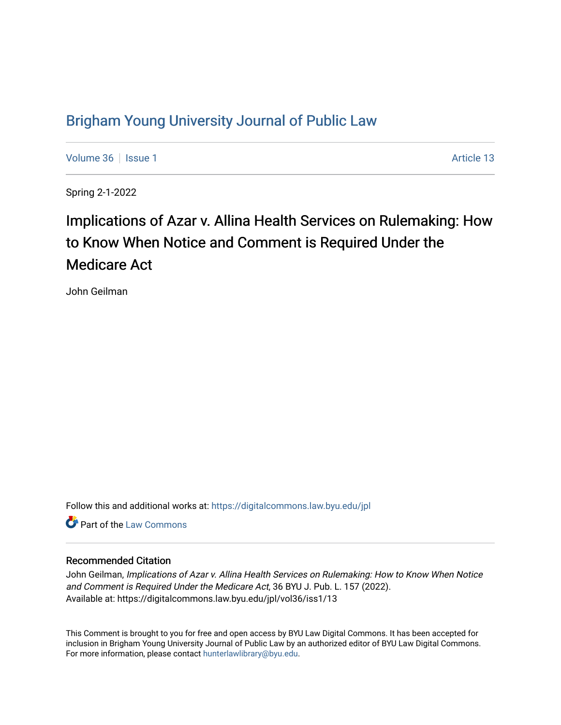## [Brigham Young University Journal of Public Law](https://digitalcommons.law.byu.edu/jpl)

[Volume 36](https://digitalcommons.law.byu.edu/jpl/vol36) | [Issue 1](https://digitalcommons.law.byu.edu/jpl/vol36/iss1) Article 13

Spring 2-1-2022

# Implications of Azar v. Allina Health Services on Rulemaking: How to Know When Notice and Comment is Required Under the Medicare Act

John Geilman

Follow this and additional works at: [https://digitalcommons.law.byu.edu/jpl](https://digitalcommons.law.byu.edu/jpl?utm_source=digitalcommons.law.byu.edu%2Fjpl%2Fvol36%2Fiss1%2F13&utm_medium=PDF&utm_campaign=PDFCoverPages) 

**C** Part of the [Law Commons](http://network.bepress.com/hgg/discipline/578?utm_source=digitalcommons.law.byu.edu%2Fjpl%2Fvol36%2Fiss1%2F13&utm_medium=PDF&utm_campaign=PDFCoverPages)

#### Recommended Citation

John Geilman, Implications of Azar v. Allina Health Services on Rulemaking: How to Know When Notice and Comment is Required Under the Medicare Act, 36 BYU J. Pub. L. 157 (2022). Available at: https://digitalcommons.law.byu.edu/jpl/vol36/iss1/13

This Comment is brought to you for free and open access by BYU Law Digital Commons. It has been accepted for inclusion in Brigham Young University Journal of Public Law by an authorized editor of BYU Law Digital Commons. For more information, please contact [hunterlawlibrary@byu.edu](mailto:hunterlawlibrary@byu.edu).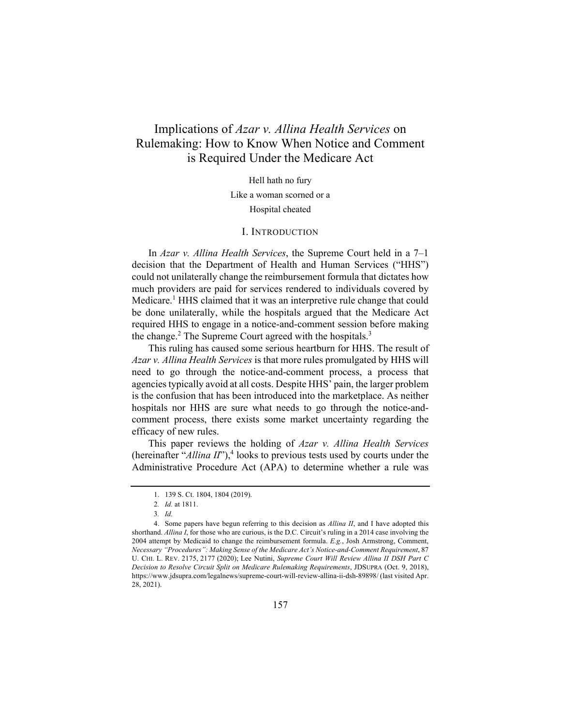### Implications of *Azar v. Allina Health Services* on Rulemaking: How to Know When Notice and Comment is Required Under the Medicare Act

Hell hath no fury

Like a woman scorned or a

Hospital cheated

#### I. INTRODUCTION

In *Azar v. Allina Health Services*, the Supreme Court held in a 7–1 decision that the Department of Health and Human Services ("HHS") could not unilaterally change the reimbursement formula that dictates how much providers are paid for services rendered to individuals covered by Medicare.<sup>1</sup> HHS claimed that it was an interpretive rule change that could be done unilaterally, while the hospitals argued that the Medicare Act required HHS to engage in a notice-and-comment session before making the change.<sup>2</sup> The Supreme Court agreed with the hospitals.<sup>3</sup>

This ruling has caused some serious heartburn for HHS. The result of *Azar v. Allina Health Services* is that more rules promulgated by HHS will need to go through the notice-and-comment process, a process that agencies typically avoid at all costs. Despite HHS' pain, the larger problem is the confusion that has been introduced into the marketplace. As neither hospitals nor HHS are sure what needs to go through the notice-andcomment process, there exists some market uncertainty regarding the efficacy of new rules.

This paper reviews the holding of *Azar v. Allina Health Services*  (hereinafter " $Allina II$ "),<sup>4</sup> looks to previous tests used by courts under the Administrative Procedure Act (APA) to determine whether a rule was

<sup>1. 139</sup> S. Ct. 1804, 1804 (2019).

<sup>2</sup>*. Id.* at 1811.

<sup>3</sup>*. Id.*

<sup>4.</sup> Some papers have begun referring to this decision as *Allina II*, and I have adopted this shorthand. *Allina I*, for those who are curious, is the D.C. Circuit's ruling in a 2014 case involving the 2004 attempt by Medicaid to change the reimbursement formula. *E.g.*, Josh Armstrong, Comment, *Necessary "Procedures": Making Sense of the Medicare Act's Notice-and-Comment Requirement*, 87 U. CHI. L. REV. 2175, 2177 (2020); Lee Nutini, *Supreme Court Will Review Allina II DSH Part C Decision to Resolve Circuit Split on Medicare Rulemaking Requirements*, JDSUPRA (Oct. 9, 2018), https://www.jdsupra.com/legalnews/supreme-court-will-review-allina-ii-dsh-89898/ (last visited Apr. 28, 2021).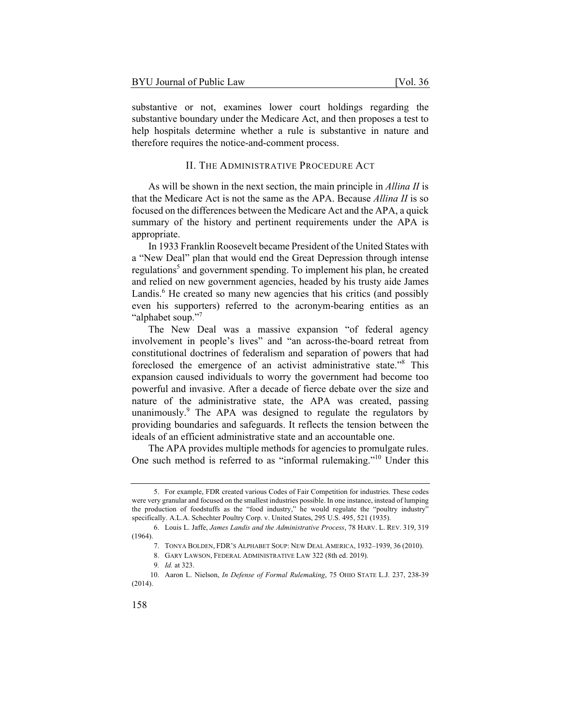substantive or not, examines lower court holdings regarding the substantive boundary under the Medicare Act, and then proposes a test to help hospitals determine whether a rule is substantive in nature and therefore requires the notice-and-comment process.

#### II. THE ADMINISTRATIVE PROCEDURE ACT

As will be shown in the next section, the main principle in *Allina II* is that the Medicare Act is not the same as the APA. Because *Allina II* is so focused on the differences between the Medicare Act and the APA, a quick summary of the history and pertinent requirements under the APA is appropriate.

In 1933 Franklin Roosevelt became President of the United States with a "New Deal" plan that would end the Great Depression through intense regulations<sup>5</sup> and government spending. To implement his plan, he created and relied on new government agencies, headed by his trusty aide James Landis.<sup>6</sup> He created so many new agencies that his critics (and possibly even his supporters) referred to the acronym-bearing entities as an "alphabet soup."7

The New Deal was a massive expansion "of federal agency involvement in people's lives" and "an across-the-board retreat from constitutional doctrines of federalism and separation of powers that had foreclosed the emergence of an activist administrative state."<sup>8</sup> This expansion caused individuals to worry the government had become too powerful and invasive. After a decade of fierce debate over the size and nature of the administrative state, the APA was created, passing unanimously.<sup>9</sup> The APA was designed to regulate the regulators by providing boundaries and safeguards. It reflects the tension between the ideals of an efficient administrative state and an accountable one.

The APA provides multiple methods for agencies to promulgate rules. One such method is referred to as "informal rulemaking."10 Under this

<sup>5.</sup> For example, FDR created various Codes of Fair Competition for industries. These codes were very granular and focused on the smallest industries possible. In one instance, instead of lumping the production of foodstuffs as the "food industry," he would regulate the "poultry industry" specifically. A.L.A. Schechter Poultry Corp. v. United States, 295 U.S. 495, 521 (1935).

<sup>6.</sup> Louis L. Jaffe, *James Landis and the Administrative Process*, 78 HARV. L. REV. 319, 319 (1964).

<sup>7.</sup> TONYA BOLDEN, FDR'S ALPHABET SOUP: NEW DEAL AMERICA, 1932–1939, 36 (2010).

<sup>8.</sup> GARY LAWSON, FEDERAL ADMINISTRATIVE LAW 322 (8th ed. 2019).

<sup>9</sup>*. Id.* at 323.

<sup>10.</sup> Aaron L. Nielson, *In Defense of Formal Rulemaking*, 75 OHIO STATE L.J. 237, 238-39 (2014).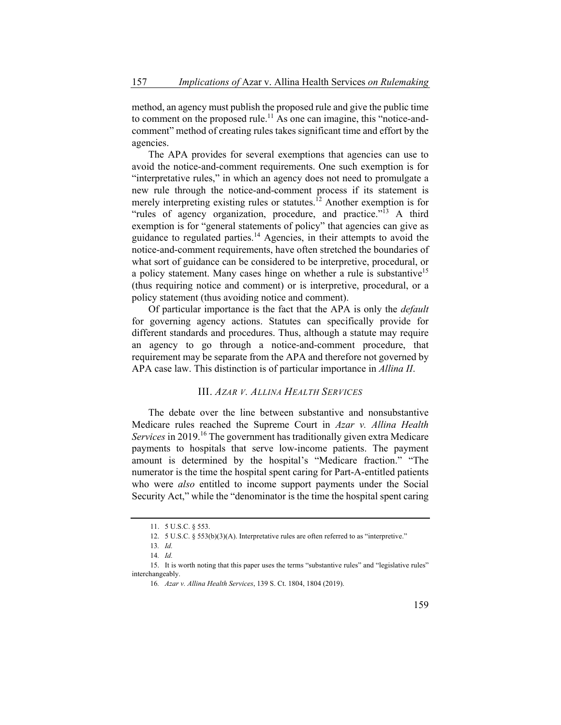method, an agency must publish the proposed rule and give the public time to comment on the proposed rule.<sup>11</sup> As one can imagine, this "notice-andcomment" method of creating rules takes significant time and effort by the agencies.

The APA provides for several exemptions that agencies can use to avoid the notice-and-comment requirements. One such exemption is for "interpretative rules," in which an agency does not need to promulgate a new rule through the notice-and-comment process if its statement is merely interpreting existing rules or statutes.<sup>12</sup> Another exemption is for "rules of agency organization, procedure, and practice."<sup>13</sup> A third exemption is for "general statements of policy" that agencies can give as guidance to regulated parties.<sup>14</sup> Agencies, in their attempts to avoid the notice-and-comment requirements, have often stretched the boundaries of what sort of guidance can be considered to be interpretive, procedural, or a policy statement. Many cases hinge on whether a rule is substantive<sup>15</sup> (thus requiring notice and comment) or is interpretive, procedural, or a policy statement (thus avoiding notice and comment).

Of particular importance is the fact that the APA is only the *default*  for governing agency actions. Statutes can specifically provide for different standards and procedures. Thus, although a statute may require an agency to go through a notice-and-comment procedure, that requirement may be separate from the APA and therefore not governed by APA case law. This distinction is of particular importance in *Allina II*.

#### III. *AZAR V. ALLINA HEALTH SERVICES*

The debate over the line between substantive and nonsubstantive Medicare rules reached the Supreme Court in *Azar v. Allina Health Services* in 2019.<sup>16</sup> The government has traditionally given extra Medicare payments to hospitals that serve low-income patients. The payment amount is determined by the hospital's "Medicare fraction." "The numerator is the time the hospital spent caring for Part-A-entitled patients who were *also* entitled to income support payments under the Social Security Act," while the "denominator is the time the hospital spent caring

<sup>11. 5</sup> U.S.C. § 553.

<sup>12. 5</sup> U.S.C. § 553(b)(3)(A). Interpretative rules are often referred to as "interpretive."

<sup>13</sup>*. Id.*

<sup>14</sup>*. Id.*

<sup>15.</sup> It is worth noting that this paper uses the terms "substantive rules" and "legislative rules" interchangeably.

<sup>16</sup>*. Azar v. Allina Health Services*, 139 S. Ct. 1804, 1804 (2019).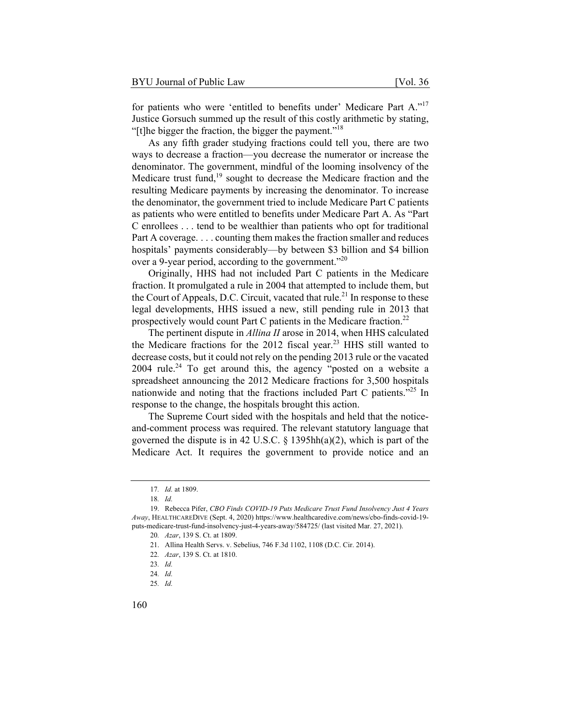As any fifth grader studying fractions could tell you, there are two ways to decrease a fraction—you decrease the numerator or increase the denominator. The government, mindful of the looming insolvency of the Medicare trust fund, $19$  sought to decrease the Medicare fraction and the resulting Medicare payments by increasing the denominator. To increase the denominator, the government tried to include Medicare Part C patients as patients who were entitled to benefits under Medicare Part A. As "Part C enrollees . . . tend to be wealthier than patients who opt for traditional Part A coverage. . . . counting them makes the fraction smaller and reduces hospitals' payments considerably—by between \$3 billion and \$4 billion over a 9-year period, according to the government."<sup>20</sup>

Originally, HHS had not included Part C patients in the Medicare fraction. It promulgated a rule in 2004 that attempted to include them, but the Court of Appeals, D.C. Circuit, vacated that rule.<sup>21</sup> In response to these legal developments, HHS issued a new, still pending rule in 2013 that prospectively would count Part C patients in the Medicare fraction.<sup>22</sup>

The pertinent dispute in *Allina II* arose in 2014, when HHS calculated the Medicare fractions for the 2012 fiscal year.<sup>23</sup> HHS still wanted to decrease costs, but it could not rely on the pending 2013 rule or the vacated 2004 rule.<sup>24</sup> To get around this, the agency "posted on a website a spreadsheet announcing the 2012 Medicare fractions for 3,500 hospitals nationwide and noting that the fractions included Part C patients."25 In response to the change, the hospitals brought this action.

The Supreme Court sided with the hospitals and held that the noticeand-comment process was required. The relevant statutory language that governed the dispute is in 42 U.S.C. § 1395hh(a)(2), which is part of the Medicare Act. It requires the government to provide notice and an

<sup>17</sup>*. Id.* at 1809.

<sup>18</sup>*. Id.*

<sup>19.</sup> Rebecca Pifer, *CBO Finds COVID-19 Puts Medicare Trust Fund Insolvency Just 4 Years Away*, HEALTHCAREDIVE (Sept. 4, 2020) https://www.healthcaredive.com/news/cbo-finds-covid-19 puts-medicare-trust-fund-insolvency-just-4-years-away/584725/ (last visited Mar. 27, 2021).

<sup>20</sup>*. Azar*, 139 S. Ct. at 1809.

<sup>21.</sup> Allina Health Servs. v. Sebelius, 746 F.3d 1102, 1108 (D.C. Cir. 2014).

<sup>22</sup>*. Azar*, 139 S. Ct. at 1810.

<sup>23</sup>*. Id.*

<sup>24</sup>*. Id.*

<sup>25</sup>*. Id.*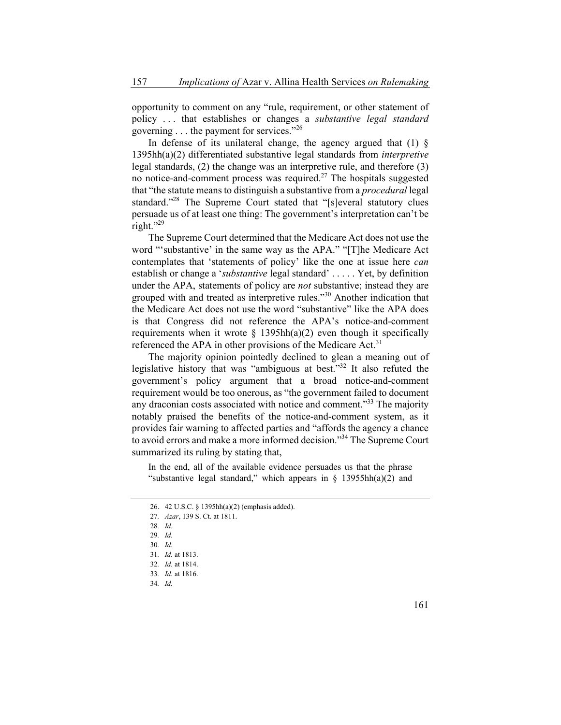opportunity to comment on any "rule, requirement, or other statement of policy . . . that establishes or changes a *substantive legal standard* governing . . . the payment for services."<sup>26</sup>

In defense of its unilateral change, the agency argued that  $(1)$  § 1395hh(a)(2) differentiated substantive legal standards from *interpretive*  legal standards, (2) the change was an interpretive rule, and therefore (3) no notice-and-comment process was required.<sup>27</sup> The hospitals suggested that "the statute means to distinguish a substantive from a *procedural* legal standard."<sup>28</sup> The Supreme Court stated that "[s]everal statutory clues persuade us of at least one thing: The government's interpretation can't be right."29

The Supreme Court determined that the Medicare Act does not use the word "'substantive' in the same way as the APA." "[T]he Medicare Act contemplates that 'statements of policy' like the one at issue here *can* establish or change a '*substantive* legal standard' . . . . . Yet, by definition under the APA, statements of policy are *not* substantive; instead they are grouped with and treated as interpretive rules."<sup>30</sup> Another indication that the Medicare Act does not use the word "substantive" like the APA does is that Congress did not reference the APA's notice-and-comment requirements when it wrote  $\S$  1395hh(a)(2) even though it specifically referenced the APA in other provisions of the Medicare Act.<sup>31</sup>

The majority opinion pointedly declined to glean a meaning out of legislative history that was "ambiguous at best."32 It also refuted the government's policy argument that a broad notice-and-comment requirement would be too onerous, as "the government failed to document any draconian costs associated with notice and comment.<sup>33</sup> The majority notably praised the benefits of the notice-and-comment system, as it provides fair warning to affected parties and "affords the agency a chance to avoid errors and make a more informed decision."<sup>34</sup> The Supreme Court summarized its ruling by stating that,

In the end, all of the available evidence persuades us that the phrase "substantive legal standard," which appears in  $\S$  13955hh(a)(2) and

<sup>26. 42</sup> U.S.C. § 1395hh(a)(2) (emphasis added).

<sup>27</sup>*. Azar*, 139 S. Ct. at 1811.

<sup>28</sup>*. Id.*

<sup>29</sup>*. Id.*

<sup>30</sup>*. Id.*

<sup>31</sup>*. Id.* at 1813.

<sup>32</sup>*. Id.* at 1814.

<sup>33</sup>*. Id.* at 1816.

<sup>34</sup>*. Id.*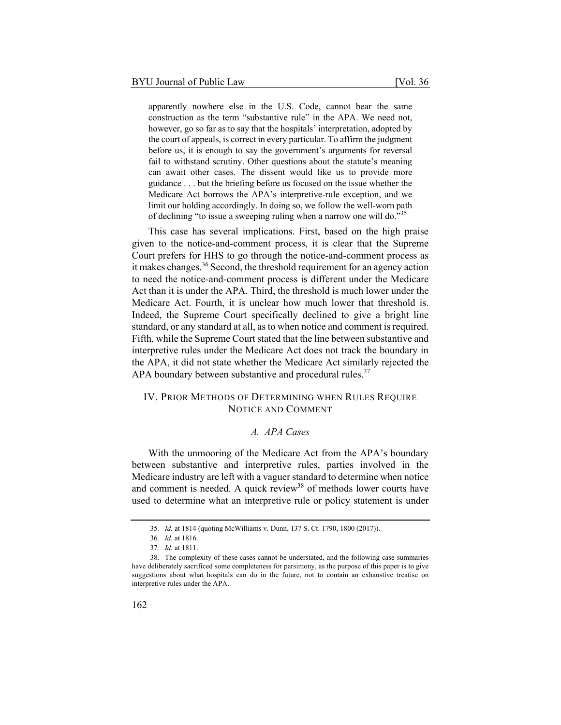apparently nowhere else in the U.S. Code, cannot bear the same construction as the term "substantive rule" in the APA. We need not, however, go so far as to say that the hospitals' interpretation, adopted by the court of appeals, is correct in every particular. To affirm the judgment before us, it is enough to say the government's arguments for reversal fail to withstand scrutiny. Other questions about the statute's meaning can await other cases. The dissent would like us to provide more guidance . . . but the briefing before us focused on the issue whether the Medicare Act borrows the APA's interpretive-rule exception, and we limit our holding accordingly. In doing so, we follow the well-worn path of declining "to issue a sweeping ruling when a narrow one will do."<sup>35</sup>

This case has several implications. First, based on the high praise given to the notice-and-comment process, it is clear that the Supreme Court prefers for HHS to go through the notice-and-comment process as it makes changes.<sup>36</sup> Second, the threshold requirement for an agency action to need the notice-and-comment process is different under the Medicare Act than it is under the APA. Third, the threshold is much lower under the Medicare Act. Fourth, it is unclear how much lower that threshold is. Indeed, the Supreme Court specifically declined to give a bright line standard, or any standard at all, as to when notice and comment is required. Fifth, while the Supreme Court stated that the line between substantive and interpretive rules under the Medicare Act does not track the boundary in the APA, it did not state whether the Medicare Act similarly rejected the APA boundary between substantive and procedural rules. $37$ 

#### IV. PRIOR METHODS OF DETERMINING WHEN RULES REQUIRE NOTICE AND COMMENT

#### *A. APA Cases*

With the unmooring of the Medicare Act from the APA's boundary between substantive and interpretive rules, parties involved in the Medicare industry are left with a vaguer standard to determine when notice and comment is needed. A quick review<sup>38</sup> of methods lower courts have used to determine what an interpretive rule or policy statement is under

<sup>35</sup>*. Id.* at 1814 (quoting McWilliams v. Dunn, 137 S. Ct. 1790, 1800 (2017)).

<sup>36</sup>*. Id.* at 1816.

<sup>37</sup>*. Id.* at 1811.

<sup>38.</sup> The complexity of these cases cannot be understated, and the following case summaries have deliberately sacrificed some completeness for parsimony, as the purpose of this paper is to give suggestions about what hospitals can do in the future, not to contain an exhaustive treatise on interpretive rules under the APA.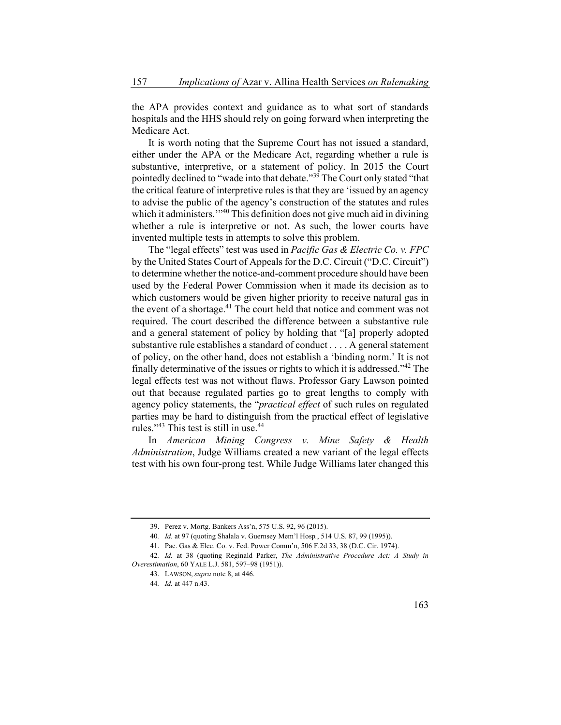the APA provides context and guidance as to what sort of standards hospitals and the HHS should rely on going forward when interpreting the Medicare Act.

It is worth noting that the Supreme Court has not issued a standard, either under the APA or the Medicare Act, regarding whether a rule is substantive, interpretive, or a statement of policy. In 2015 the Court pointedly declined to "wade into that debate."<sup>39</sup> The Court only stated "that the critical feature of interpretive rules is that they are 'issued by an agency to advise the public of the agency's construction of the statutes and rules which it administers."<sup>40</sup> This definition does not give much aid in divining whether a rule is interpretive or not. As such, the lower courts have invented multiple tests in attempts to solve this problem.

The "legal effects" test was used in *Pacific Gas & Electric Co. v. FPC* by the United States Court of Appeals for the D.C. Circuit ("D.C. Circuit") to determine whether the notice-and-comment procedure should have been used by the Federal Power Commission when it made its decision as to which customers would be given higher priority to receive natural gas in the event of a shortage.<sup>41</sup> The court held that notice and comment was not required. The court described the difference between a substantive rule and a general statement of policy by holding that "[a] properly adopted substantive rule establishes a standard of conduct . . . . A general statement of policy, on the other hand, does not establish a 'binding norm.' It is not finally determinative of the issues or rights to which it is addressed."42 The legal effects test was not without flaws. Professor Gary Lawson pointed out that because regulated parties go to great lengths to comply with agency policy statements, the "*practical effect* of such rules on regulated parties may be hard to distinguish from the practical effect of legislative rules." $43$  This test is still in use. $44$ 

In *American Mining Congress v. Mine Safety & Health Administration*, Judge Williams created a new variant of the legal effects test with his own four-prong test. While Judge Williams later changed this

<sup>39.</sup> Perez v. Mortg. Bankers Ass'n, 575 U.S. 92, 96 (2015).

<sup>40</sup>*. Id.* at 97 (quoting Shalala v. Guernsey Mem'l Hosp*.*, 514 U.S. 87, 99 (1995)).

<sup>41.</sup> Pac. Gas & Elec. Co. v. Fed. Power Comm'n, 506 F.2d 33, 38 (D.C. Cir. 1974).

<sup>42</sup>*. Id.* at 38 (quoting Reginald Parker, *The Administrative Procedure Act: A Study in Overestimation*, 60 YALE L.J. 581, 597–98 (1951)).

<sup>43.</sup> LAWSON, *supra* note 8, at 446.

<sup>44</sup>*. Id.* at 447 n.43.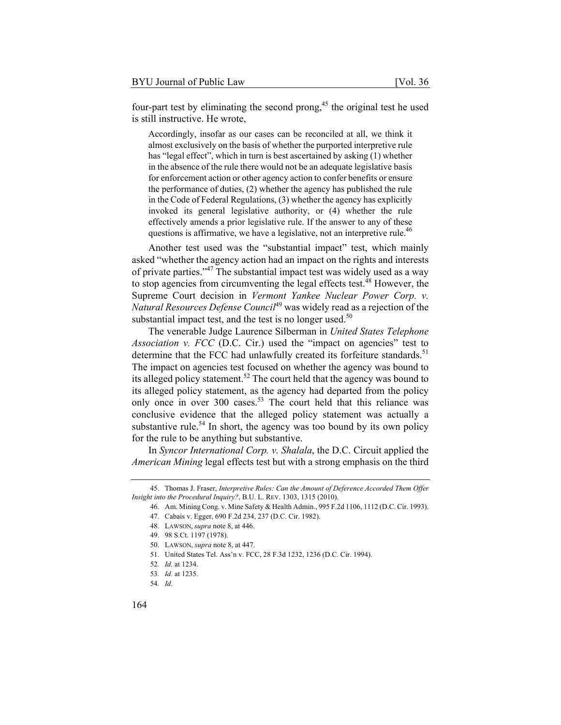four-part test by eliminating the second prong,<sup>45</sup> the original test he used is still instructive. He wrote,

Accordingly, insofar as our cases can be reconciled at all, we think it almost exclusively on the basis of whether the purported interpretive rule has "legal effect", which in turn is best ascertained by asking (1) whether in the absence of the rule there would not be an adequate legislative basis for enforcement action or other agency action to confer benefits or ensure the performance of duties, (2) whether the agency has published the rule in the Code of Federal Regulations, (3) whether the agency has explicitly invoked its general legislative authority, or (4) whether the rule effectively amends a prior legislative rule. If the answer to any of these questions is affirmative, we have a legislative, not an interpretive rule.<sup>46</sup>

Another test used was the "substantial impact" test, which mainly asked "whether the agency action had an impact on the rights and interests of private parties."<sup>47</sup> The substantial impact test was widely used as a way to stop agencies from circumventing the legal effects test.<sup>48</sup> However, the Supreme Court decision in *Vermont Yankee Nuclear Power Corp. v. Natural Resources Defense Council*49 was widely read as a rejection of the substantial impact test, and the test is no longer used. $50$ 

The venerable Judge Laurence Silberman in *United States Telephone Association v. FCC* (D.C. Cir.) used the "impact on agencies" test to determine that the FCC had unlawfully created its forfeiture standards.<sup>51</sup> The impact on agencies test focused on whether the agency was bound to its alleged policy statement.<sup>52</sup> The court held that the agency was bound to its alleged policy statement, as the agency had departed from the policy only once in over 300 cases.<sup>53</sup> The court held that this reliance was conclusive evidence that the alleged policy statement was actually a substantive rule.<sup>54</sup> In short, the agency was too bound by its own policy for the rule to be anything but substantive.

In *Syncor International Corp. v. Shalala*, the D.C. Circuit applied the *American Mining* legal effects test but with a strong emphasis on the third

<sup>45.</sup> Thomas J. Fraser, *Interpretive Rules: Can the Amount of Deference Accorded Them Offer Insight into the Procedural Inquiry?*, B.U. L. REV. 1303, 1315 (2010).

<sup>46.</sup> Am. Mining Cong. v. Mine Safety & Health Admin., 995 F.2d 1106, 1112 (D.C. Cir. 1993).

<sup>47.</sup> Cabais v. Egger, 690 F.2d 234, 237 (D.C. Cir. 1982).

<sup>48.</sup> LAWSON, *supra* note 8, at 446.

<sup>49. 98</sup> S.Ct. 1197 (1978).

<sup>50.</sup> LAWSON, *supra* note 8, at 447.

<sup>51.</sup> United States Tel. Ass'n v. FCC, 28 F.3d 1232, 1236 (D.C. Cir. 1994).

<sup>52</sup>*. Id.* at 1234.

<sup>53</sup>*. Id.* at 1235.

<sup>54</sup>*. Id.*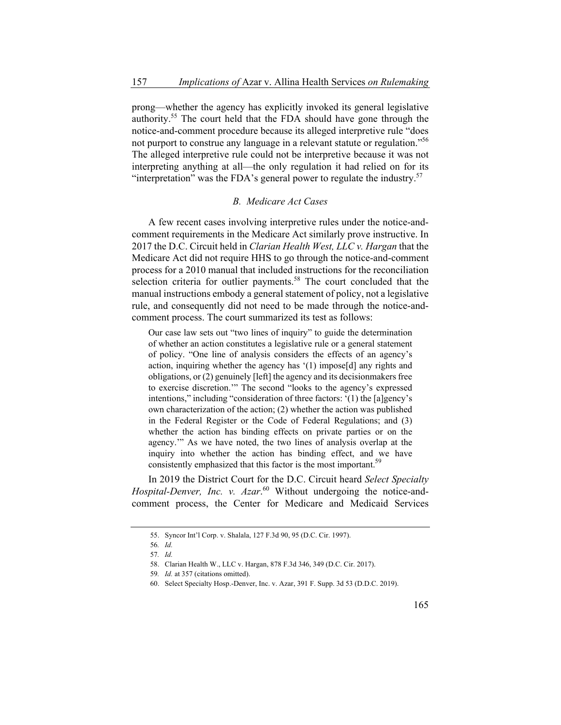prong—whether the agency has explicitly invoked its general legislative authority.<sup>55</sup> The court held that the FDA should have gone through the notice-and-comment procedure because its alleged interpretive rule "does not purport to construe any language in a relevant statute or regulation."<sup>56</sup> The alleged interpretive rule could not be interpretive because it was not interpreting anything at all—the only regulation it had relied on for its "interpretation" was the FDA's general power to regulate the industry.<sup>57</sup>

#### *B. Medicare Act Cases*

A few recent cases involving interpretive rules under the notice-andcomment requirements in the Medicare Act similarly prove instructive. In 2017 the D.C. Circuit held in *Clarian Health West, LLC v. Hargan* that the Medicare Act did not require HHS to go through the notice-and-comment process for a 2010 manual that included instructions for the reconciliation selection criteria for outlier payments.<sup>58</sup> The court concluded that the manual instructions embody a general statement of policy, not a legislative rule, and consequently did not need to be made through the notice-andcomment process. The court summarized its test as follows:

Our case law sets out "two lines of inquiry" to guide the determination of whether an action constitutes a legislative rule or a general statement of policy. "One line of analysis considers the effects of an agency's action, inquiring whether the agency has '(1) impose[d] any rights and obligations, or (2) genuinely [left] the agency and its decisionmakers free to exercise discretion.'" The second "looks to the agency's expressed intentions," including "consideration of three factors: '(1) the [a]gency's own characterization of the action; (2) whether the action was published in the Federal Register or the Code of Federal Regulations; and (3) whether the action has binding effects on private parties or on the agency.'" As we have noted, the two lines of analysis overlap at the inquiry into whether the action has binding effect, and we have consistently emphasized that this factor is the most important.<sup>59</sup>

In 2019 the District Court for the D.C. Circuit heard *Select Specialty*  Hospital-Denver, Inc. v. Azar.<sup>60</sup> Without undergoing the notice-andcomment process, the Center for Medicare and Medicaid Services

<sup>55.</sup> Syncor Int'l Corp. v. Shalala, 127 F.3d 90, 95 (D.C. Cir. 1997).

<sup>56</sup>*. Id.*

<sup>57</sup>*. Id.*

<sup>58.</sup> Clarian Health W., LLC v. Hargan, 878 F.3d 346, 349 (D.C. Cir. 2017).

<sup>59</sup>*. Id.* at 357 (citations omitted).

<sup>60.</sup> Select Specialty Hosp.-Denver, Inc. v. Azar, 391 F. Supp. 3d 53 (D.D.C. 2019).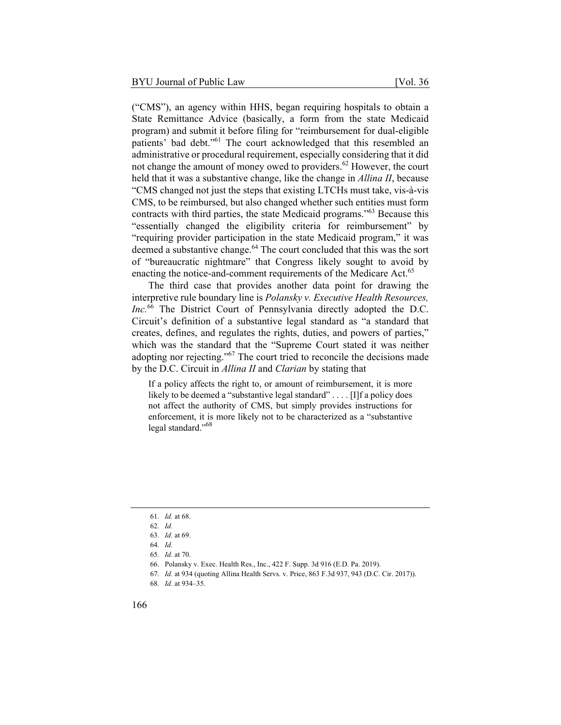("CMS"), an agency within HHS, began requiring hospitals to obtain a State Remittance Advice (basically, a form from the state Medicaid program) and submit it before filing for "reimbursement for dual-eligible patients' bad debt."61 The court acknowledged that this resembled an administrative or procedural requirement, especially considering that it did not change the amount of money owed to providers.<sup>62</sup> However, the court held that it was a substantive change, like the change in *Allina II*, because "CMS changed not just the steps that existing LTCHs must take, vis-à-vis CMS, to be reimbursed, but also changed whether such entities must form contracts with third parties, the state Medicaid programs."63 Because this "essentially changed the eligibility criteria for reimbursement" by "requiring provider participation in the state Medicaid program," it was deemed a substantive change.<sup>64</sup> The court concluded that this was the sort of "bureaucratic nightmare" that Congress likely sought to avoid by

The third case that provides another data point for drawing the interpretive rule boundary line is *Polansky v. Executive Health Resources,*  Inc.<sup>66</sup> The District Court of Pennsylvania directly adopted the D.C. Circuit's definition of a substantive legal standard as "a standard that creates, defines, and regulates the rights, duties, and powers of parties," which was the standard that the "Supreme Court stated it was neither adopting nor rejecting."67 The court tried to reconcile the decisions made by the D.C. Circuit in *Allina II* and *Clarian* by stating that

enacting the notice-and-comment requirements of the Medicare Act.<sup>65</sup>

If a policy affects the right to, or amount of reimbursement, it is more likely to be deemed a "substantive legal standard" . . . . [I] f a policy does not affect the authority of CMS, but simply provides instructions for enforcement, it is more likely not to be characterized as a "substantive legal standard."<sup>68</sup>

67*. Id.* at 934 (quoting Allina Health Servs. v. Price, 863 F.3d 937, 943 (D.C. Cir. 2017)).

<sup>61</sup>*. Id.* at 68.

<sup>62</sup>*. Id.*

<sup>63</sup>*. Id.* at 69.

<sup>64</sup>*. Id.*

<sup>65</sup>*. Id.* at 70.

<sup>66.</sup> Polansky v. Exec. Health Res., Inc., 422 F. Supp. 3d 916 (E.D. Pa. 2019).

<sup>68</sup>*. Id.* at 934–35.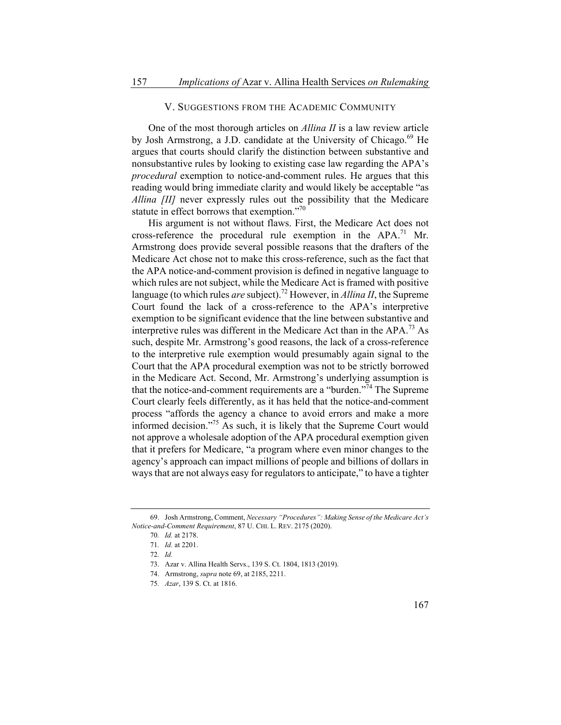#### V. SUGGESTIONS FROM THE ACADEMIC COMMUNITY

One of the most thorough articles on *Allina II* is a law review article by Josh Armstrong, a J.D. candidate at the University of Chicago.<sup>69</sup> He argues that courts should clarify the distinction between substantive and nonsubstantive rules by looking to existing case law regarding the APA's *procedural* exemption to notice-and-comment rules. He argues that this reading would bring immediate clarity and would likely be acceptable "as *Allina [II]* never expressly rules out the possibility that the Medicare statute in effect borrows that exemption."<sup>70</sup>

His argument is not without flaws. First, the Medicare Act does not cross-reference the procedural rule exemption in the  $APA.<sup>71</sup>$  Mr. Armstrong does provide several possible reasons that the drafters of the Medicare Act chose not to make this cross-reference, such as the fact that the APA notice-and-comment provision is defined in negative language to which rules are not subject, while the Medicare Act is framed with positive language (to which rules *are* subject).72 However, in *Allina II*, the Supreme Court found the lack of a cross-reference to the APA's interpretive exemption to be significant evidence that the line between substantive and interpretive rules was different in the Medicare Act than in the  $APA$ .<sup>73</sup> As such, despite Mr. Armstrong's good reasons, the lack of a cross-reference to the interpretive rule exemption would presumably again signal to the Court that the APA procedural exemption was not to be strictly borrowed in the Medicare Act. Second, Mr. Armstrong's underlying assumption is that the notice-and-comment requirements are a "burden."74 The Supreme Court clearly feels differently, as it has held that the notice-and-comment process "affords the agency a chance to avoid errors and make a more informed decision."75 As such, it is likely that the Supreme Court would not approve a wholesale adoption of the APA procedural exemption given that it prefers for Medicare, "a program where even minor changes to the agency's approach can impact millions of people and billions of dollars in ways that are not always easy for regulators to anticipate," to have a tighter

<sup>69.</sup> Josh Armstrong, Comment, *Necessary "Procedures": Making Sense of the Medicare Act's Notice-and-Comment Requirement*, 87 U. CHI. L. REV. 2175 (2020).

<sup>70</sup>*. Id.* at 2178.

<sup>71</sup>*. Id.* at 2201.

<sup>72</sup>*. Id.*

<sup>73.</sup> Azar v. Allina Health Servs., 139 S. Ct. 1804, 1813 (2019).

<sup>74.</sup> Armstrong, *supra* note 69, at 2185, 2211.

<sup>75</sup>*. Azar*, 139 S. Ct. at 1816.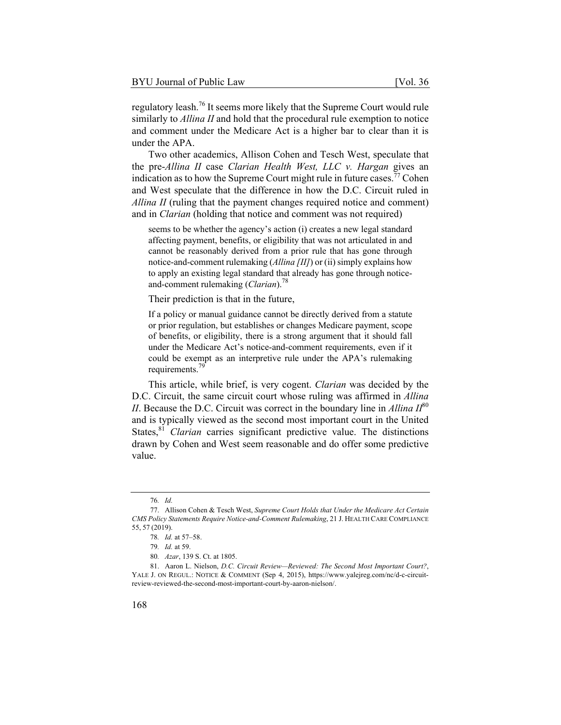regulatory leash.76 It seems more likely that the Supreme Court would rule similarly to *Allina II* and hold that the procedural rule exemption to notice and comment under the Medicare Act is a higher bar to clear than it is under the APA.

Two other academics, Allison Cohen and Tesch West, speculate that the pre-*Allina II* case *Clarian Health West, LLC v. Hargan* gives an indication as to how the Supreme Court might rule in future cases.<sup>77</sup> Cohen and West speculate that the difference in how the D.C. Circuit ruled in *Allina II* (ruling that the payment changes required notice and comment) and in *Clarian* (holding that notice and comment was not required)

seems to be whether the agency's action (i) creates a new legal standard affecting payment, benefits, or eligibility that was not articulated in and cannot be reasonably derived from a prior rule that has gone through notice-and-comment rulemaking (*Allina [II]*) or (ii) simply explains how to apply an existing legal standard that already has gone through noticeand-comment rulemaking (*Clarian*).78

Their prediction is that in the future,

If a policy or manual guidance cannot be directly derived from a statute or prior regulation, but establishes or changes Medicare payment, scope of benefits, or eligibility, there is a strong argument that it should fall under the Medicare Act's notice-and-comment requirements, even if it could be exempt as an interpretive rule under the APA's rulemaking requirements.<sup>79</sup>

This article, while brief, is very cogent. *Clarian* was decided by the D.C. Circuit, the same circuit court whose ruling was affirmed in *Allina II*. Because the D.C. Circuit was correct in the boundary line in *Allina II*<sup>80</sup> and is typically viewed as the second most important court in the United States,<sup>81</sup> *Clarian* carries significant predictive value. The distinctions drawn by Cohen and West seem reasonable and do offer some predictive value.

<sup>76</sup>*. Id.*

<sup>77.</sup> Allison Cohen & Tesch West, *Supreme Court Holds that Under the Medicare Act Certain CMS Policy Statements Require Notice-and-Comment Rulemaking*, 21 J. HEALTH CARE COMPLIANCE 55, 57 (2019).

<sup>78</sup>*. Id.* at 57–58.

<sup>79</sup>*. Id.* at 59.

<sup>80</sup>*. Azar*, 139 S. Ct. at 1805.

<sup>81.</sup> Aaron L. Nielson, *D.C. Circuit Review—Reviewed: The Second Most Important Court?*, YALE J. ON REGUL.: NOTICE & COMMENT (Sep 4, 2015), https://www.yalejreg.com/nc/d-c-circuitreview-reviewed-the-second-most-important-court-by-aaron-nielson/.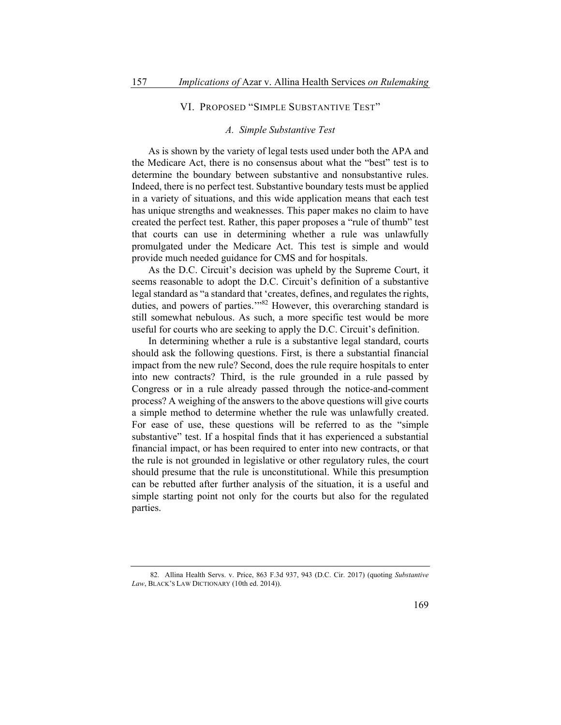#### VI. PROPOSED "SIMPLE SUBSTANTIVE TEST"

#### *A. Simple Substantive Test*

As is shown by the variety of legal tests used under both the APA and the Medicare Act, there is no consensus about what the "best" test is to determine the boundary between substantive and nonsubstantive rules. Indeed, there is no perfect test. Substantive boundary tests must be applied in a variety of situations, and this wide application means that each test has unique strengths and weaknesses. This paper makes no claim to have created the perfect test. Rather, this paper proposes a "rule of thumb" test that courts can use in determining whether a rule was unlawfully promulgated under the Medicare Act. This test is simple and would provide much needed guidance for CMS and for hospitals.

As the D.C. Circuit's decision was upheld by the Supreme Court, it seems reasonable to adopt the D.C. Circuit's definition of a substantive legal standard as "a standard that 'creates, defines, and regulates the rights, duties, and powers of parties."<sup>82</sup> However, this overarching standard is still somewhat nebulous. As such, a more specific test would be more useful for courts who are seeking to apply the D.C. Circuit's definition.

In determining whether a rule is a substantive legal standard, courts should ask the following questions. First, is there a substantial financial impact from the new rule? Second, does the rule require hospitals to enter into new contracts? Third, is the rule grounded in a rule passed by Congress or in a rule already passed through the notice-and-comment process? A weighing of the answers to the above questions will give courts a simple method to determine whether the rule was unlawfully created. For ease of use, these questions will be referred to as the "simple substantive" test. If a hospital finds that it has experienced a substantial financial impact, or has been required to enter into new contracts, or that the rule is not grounded in legislative or other regulatory rules, the court should presume that the rule is unconstitutional. While this presumption can be rebutted after further analysis of the situation, it is a useful and simple starting point not only for the courts but also for the regulated parties.

<sup>82.</sup> Allina Health Servs. v. Price, 863 F.3d 937, 943 (D.C. Cir. 2017) (quoting *Substantive Law*, BLACK'S LAW DICTIONARY (10th ed. 2014)).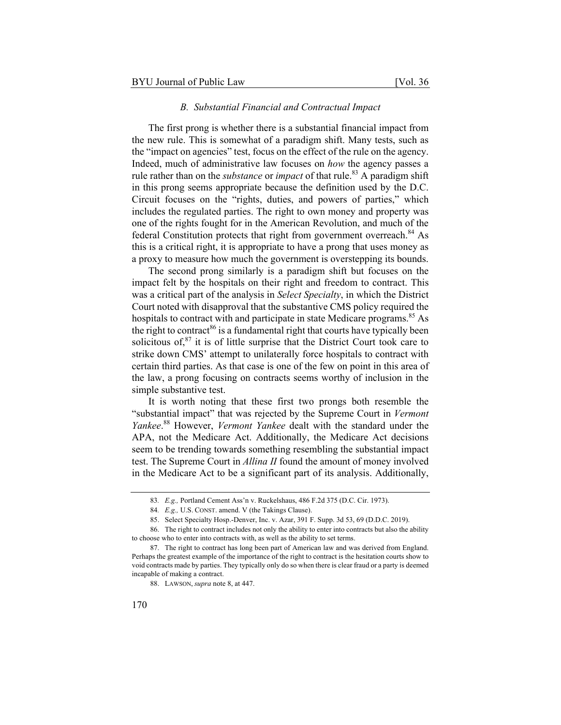#### *B. Substantial Financial and Contractual Impact*

The first prong is whether there is a substantial financial impact from the new rule. This is somewhat of a paradigm shift. Many tests, such as the "impact on agencies" test, focus on the effect of the rule on the agency. Indeed, much of administrative law focuses on *how* the agency passes a rule rather than on the *substance* or *impact* of that rule.<sup>83</sup> A paradigm shift in this prong seems appropriate because the definition used by the D.C. Circuit focuses on the "rights, duties, and powers of parties," which includes the regulated parties. The right to own money and property was one of the rights fought for in the American Revolution, and much of the federal Constitution protects that right from government overreach. $84$  As this is a critical right, it is appropriate to have a prong that uses money as a proxy to measure how much the government is overstepping its bounds.

The second prong similarly is a paradigm shift but focuses on the impact felt by the hospitals on their right and freedom to contract. This was a critical part of the analysis in *Select Specialty*, in which the District Court noted with disapproval that the substantive CMS policy required the hospitals to contract with and participate in state Medicare programs.<sup>85</sup> As the right to contract<sup>86</sup> is a fundamental right that courts have typically been solicitous of, $87$  it is of little surprise that the District Court took care to strike down CMS' attempt to unilaterally force hospitals to contract with certain third parties. As that case is one of the few on point in this area of the law, a prong focusing on contracts seems worthy of inclusion in the simple substantive test.

It is worth noting that these first two prongs both resemble the "substantial impact" that was rejected by the Supreme Court in *Vermont Yankee*. 88 However, *Vermont Yankee* dealt with the standard under the APA, not the Medicare Act. Additionally, the Medicare Act decisions seem to be trending towards something resembling the substantial impact test. The Supreme Court in *Allina II* found the amount of money involved in the Medicare Act to be a significant part of its analysis. Additionally,

<sup>83</sup>*. E.g.,* Portland Cement Ass'n v. Ruckelshaus, 486 F.2d 375 (D.C. Cir. 1973).

<sup>84</sup>*. E.g.,* U.S. CONST. amend. V (the Takings Clause).

<sup>85.</sup> Select Specialty Hosp.-Denver, Inc. v. Azar, 391 F. Supp. 3d 53, 69 (D.D.C. 2019).

<sup>86.</sup> The right to contract includes not only the ability to enter into contracts but also the ability to choose who to enter into contracts with, as well as the ability to set terms.

<sup>87.</sup> The right to contract has long been part of American law and was derived from England. Perhaps the greatest example of the importance of the right to contract is the hesitation courts show to void contracts made by parties. They typically only do so when there is clear fraud or a party is deemed incapable of making a contract.

<sup>88.</sup> LAWSON, *supra* note 8, at 447.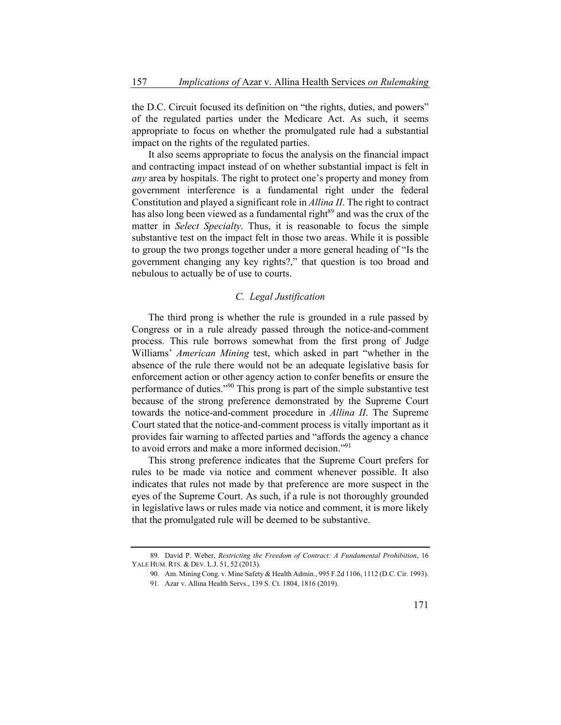the D.C. Circuit focused its definition on "the rights, duties, and powers" of the regulated parties under the Medicare Act. As such, it seems appropriate to focus on whether the promulgated rule had a substantial impact on the rights of the regulated parties.

It also seems appropriate to focus the analysis on the financial impact and contracting impact instead of on whether substantial impact is felt in *any* area by hospitals. The right to protect one's property and money from government interference is a fundamental right under the federal Constitution and played a significant role in *Allina II*. The right to contract has also long been viewed as a fundamental right<sup>89</sup> and was the crux of the matter in *Select Specialty*. Thus, it is reasonable to focus the simple substantive test on the impact felt in those two areas. While it is possible to group the two prongs together under a more general heading of "Is the government changing any key rights?," that question is too broad and nebulous to actually be of use to courts.

#### *C. Legal Justification*

The third prong is whether the rule is grounded in a rule passed by Congress or in a rule already passed through the notice-and-comment process. This rule borrows somewhat from the first prong of Judge Williams' *American Mining* test, which asked in part "whether in the absence of the rule there would not be an adequate legislative basis for enforcement action or other agency action to confer benefits or ensure the performance of duties."90 This prong is part of the simple substantive test because of the strong preference demonstrated by the Supreme Court towards the notice-and-comment procedure in *Allina II*. The Supreme Court stated that the notice-and-comment process is vitally important as it provides fair warning to affected parties and "affords the agency a chance to avoid errors and make a more informed decision."<sup>91</sup>

This strong preference indicates that the Supreme Court prefers for rules to be made via notice and comment whenever possible. It also indicates that rules not made by that preference are more suspect in the eyes of the Supreme Court. As such, if a rule is not thoroughly grounded in legislative laws or rules made via notice and comment, it is more likely that the promulgated rule will be deemed to be substantive.

<sup>89.</sup> David P. Weber, *Restricting the Freedom of Contract: A Fundamental Prohibition*, 16 YALE HUM. RTS. & DEV. L.J. 51, 52 (2013).

<sup>90.</sup> Am. Mining Cong. v. Mine Safety & Health Admin., 995 F.2d 1106, 1112 (D.C. Cir. 1993).

<sup>91.</sup> Azar v. Allina Health Servs., 139 S. Ct. 1804, 1816 (2019).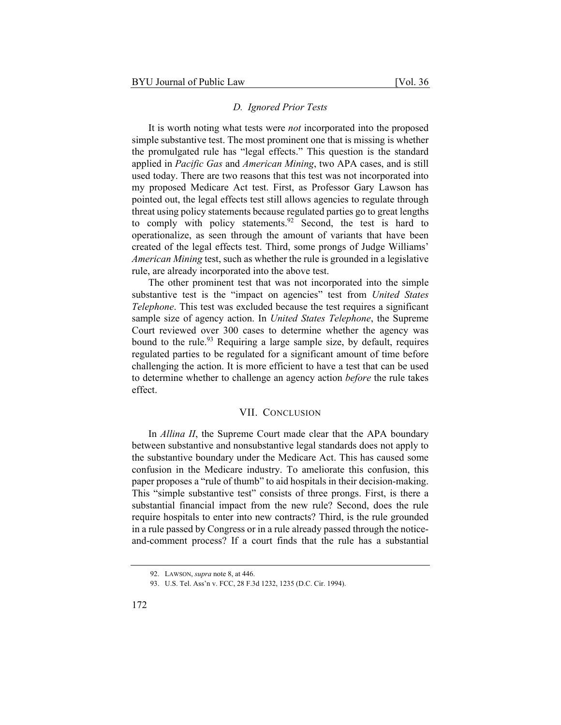#### *D. Ignored Prior Tests*

It is worth noting what tests were *not* incorporated into the proposed simple substantive test. The most prominent one that is missing is whether the promulgated rule has "legal effects." This question is the standard applied in *Pacific Gas* and *American Mining*, two APA cases, and is still used today. There are two reasons that this test was not incorporated into my proposed Medicare Act test. First, as Professor Gary Lawson has pointed out, the legal effects test still allows agencies to regulate through threat using policy statements because regulated parties go to great lengths to comply with policy statements. <sup>92</sup> Second, the test is hard to operationalize, as seen through the amount of variants that have been created of the legal effects test. Third, some prongs of Judge Williams' *American Mining* test, such as whether the rule is grounded in a legislative rule, are already incorporated into the above test.

The other prominent test that was not incorporated into the simple substantive test is the "impact on agencies" test from *United States Telephone*. This test was excluded because the test requires a significant sample size of agency action. In *United States Telephone*, the Supreme Court reviewed over 300 cases to determine whether the agency was bound to the rule.<sup>93</sup> Requiring a large sample size, by default, requires regulated parties to be regulated for a significant amount of time before challenging the action. It is more efficient to have a test that can be used to determine whether to challenge an agency action *before* the rule takes effect.

#### VII. CONCLUSION

In *Allina II*, the Supreme Court made clear that the APA boundary between substantive and nonsubstantive legal standards does not apply to the substantive boundary under the Medicare Act. This has caused some confusion in the Medicare industry. To ameliorate this confusion, this paper proposes a "rule of thumb" to aid hospitals in their decision-making. This "simple substantive test" consists of three prongs. First, is there a substantial financial impact from the new rule? Second, does the rule require hospitals to enter into new contracts? Third, is the rule grounded in a rule passed by Congress or in a rule already passed through the noticeand-comment process? If a court finds that the rule has a substantial

<sup>92.</sup> LAWSON, *supra* note 8, at 446.

<sup>93.</sup> U.S. Tel. Ass'n v. FCC, 28 F.3d 1232, 1235 (D.C. Cir. 1994).